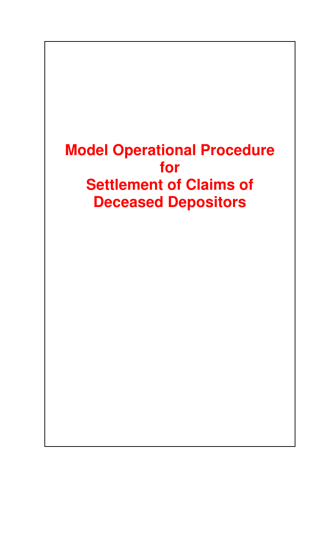# **Model Operational Procedure for Settlement of Claims of Deceased Depositors**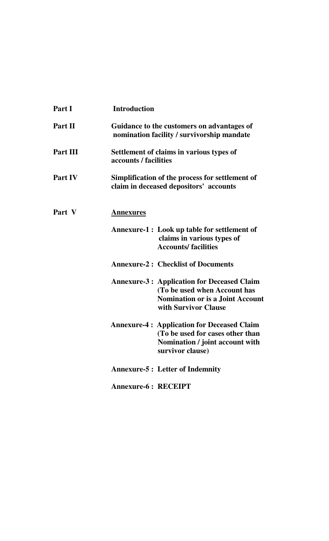| Part I   | <b>Introduction</b>                                                                                                                                  |
|----------|------------------------------------------------------------------------------------------------------------------------------------------------------|
| Part II  | Guidance to the customers on advantages of<br>nomination facility / survivorship mandate                                                             |
| Part III | Settlement of claims in various types of<br>accounts / facilities                                                                                    |
| Part IV  | Simplification of the process for settlement of<br>claim in deceased depositors' accounts                                                            |
| Part V   | <u>Annexures</u>                                                                                                                                     |
|          | <b>Annexure-1: Look up table for settlement of</b><br>claims in various types of<br><b>Accounts/facilities</b>                                       |
|          | <b>Annexure-2: Checklist of Documents</b>                                                                                                            |
|          | <b>Annexure-3: Application for Deceased Claim</b><br>(To be used when Account has<br><b>Nomination or is a Joint Account</b><br>with Survivor Clause |
|          | <b>Annexure-4: Application for Deceased Claim</b><br>(To be used for cases other than<br>Nomination / joint account with<br>survivor clause)         |
|          | <b>Annexure-5 : Letter of Indemnity</b>                                                                                                              |
|          | <b>Annexure-6: RECEIPT</b>                                                                                                                           |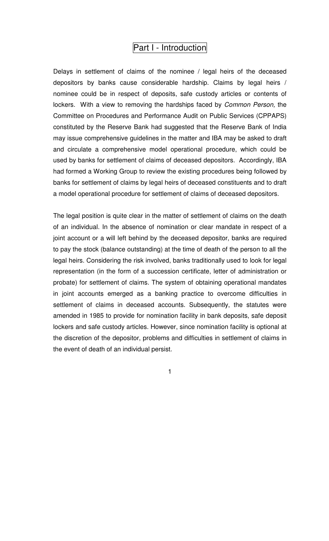# Part I - Introduction

Delays in settlement of claims of the nominee / legal heirs of the deceased depositors by banks cause considerable hardship. Claims by legal heirs / nominee could be in respect of deposits, safe custody articles or contents of lockers. With a view to removing the hardships faced by Common Person, the Committee on Procedures and Performance Audit on Public Services (CPPAPS) constituted by the Reserve Bank had suggested that the Reserve Bank of India may issue comprehensive guidelines in the matter and IBA may be asked to draft and circulate a comprehensive model operational procedure, which could be used by banks for settlement of claims of deceased depositors. Accordingly, IBA had formed a Working Group to review the existing procedures being followed by banks for settlement of claims by legal heirs of deceased constituents and to draft a model operational procedure for settlement of claims of deceased depositors.

The legal position is quite clear in the matter of settlement of claims on the death of an individual. In the absence of nomination or clear mandate in respect of a joint account or a will left behind by the deceased depositor, banks are required to pay the stock (balance outstanding) at the time of death of the person to all the legal heirs. Considering the risk involved, banks traditionally used to look for legal representation (in the form of a succession certificate, letter of administration or probate) for settlement of claims. The system of obtaining operational mandates in joint accounts emerged as a banking practice to overcome difficulties in settlement of claims in deceased accounts. Subsequently, the statutes were amended in 1985 to provide for nomination facility in bank deposits, safe deposit lockers and safe custody articles. However, since nomination facility is optional at the discretion of the depositor, problems and difficulties in settlement of claims in the event of death of an individual persist.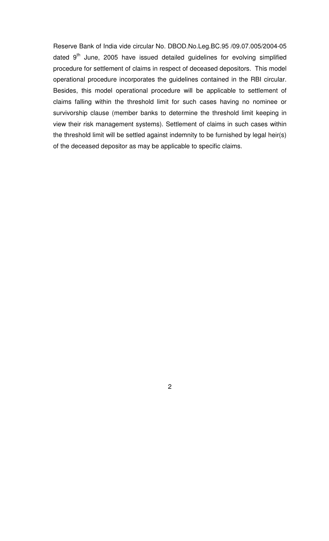Reserve Bank of India vide circular No. DBOD.No.Leg.BC.95 /09.07.005/2004-05 dated  $9<sup>th</sup>$  June, 2005 have issued detailed guidelines for evolving simplified procedure for settlement of claims in respect of deceased depositors. This model operational procedure incorporates the guidelines contained in the RBI circular. Besides, this model operational procedure will be applicable to settlement of claims falling within the threshold limit for such cases having no nominee or survivorship clause (member banks to determine the threshold limit keeping in view their risk management systems). Settlement of claims in such cases within the threshold limit will be settled against indemnity to be furnished by legal heir(s) of the deceased depositor as may be applicable to specific claims.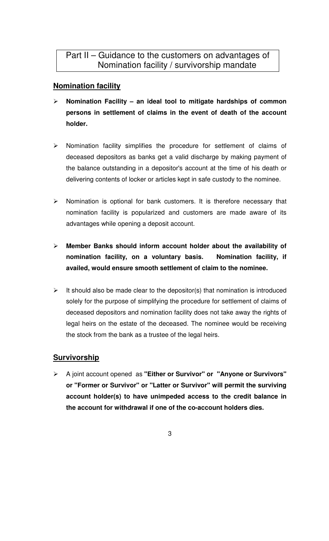# **Nomination facility**

- **Nomination Facility an ideal tool to mitigate hardships of common persons in settlement of claims in the event of death of the account holder.**
- $\triangleright$  Nomination facility simplifies the procedure for settlement of claims of deceased depositors as banks get a valid discharge by making payment of the balance outstanding in a depositor's account at the time of his death or delivering contents of locker or articles kept in safe custody to the nominee.
- $\triangleright$  Nomination is optional for bank customers. It is therefore necessary that nomination facility is popularized and customers are made aware of its advantages while opening a deposit account.
- **Member Banks should inform account holder about the availability of nomination facility, on a voluntary basis. Nomination facility, if availed, would ensure smooth settlement of claim to the nominee.**
- $\triangleright$  It should also be made clear to the depositor(s) that nomination is introduced solely for the purpose of simplifying the procedure for settlement of claims of deceased depositors and nomination facility does not take away the rights of legal heirs on the estate of the deceased. The nominee would be receiving the stock from the bank as a trustee of the legal heirs.

# **Survivorship**

- A joint account opened as **"Either or Survivor" or "Anyone or Survivors" or "Former or Survivor" or "Latter or Survivor" will permit the surviving account holder(s) to have unimpeded access to the credit balance in the account for withdrawal if one of the co-account holders dies.** 
	- 3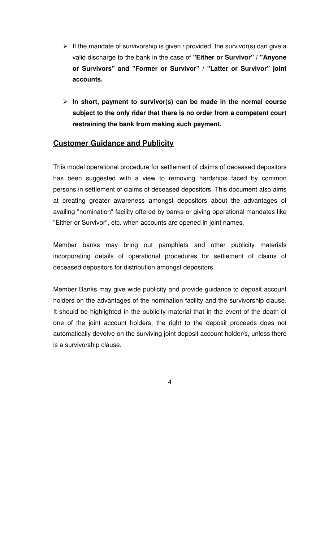- $\triangleright$  If the mandate of survivorship is given / provided, the survivor(s) can give a valid discharge to the bank in the case of **"Either or Survivor" / "Anyone or Survivors" and "Former or Survivor" / "Latter or Survivor" joint accounts.**
- **In short, payment to survivor(s) can be made in the normal course subject to the only rider that there is no order from a competent court restraining the bank from making such payment.**

### **Customer Guidance and Publicity**

This model operational procedure for settlement of claims of deceased depositors has been suggested with a view to removing hardships faced by common persons in settlement of claims of deceased depositors. This document also aims at creating greater awareness amongst depositors about the advantages of availing "nomination" facility offered by banks or giving operational mandates like "Either or Survivor", etc. when accounts are opened in joint names.

Member banks may bring out pamphlets and other publicity materials incorporating details of operational procedures for settlement of claims of deceased depositors for distribution amongst depositors.

Member Banks may give wide publicity and provide guidance to deposit account holders on the advantages of the nomination facility and the survivorship clause. It should be highlighted in the publicity material that in the event of the death of one of the joint account holders, the right to the deposit proceeds does not automatically devolve on the surviving joint deposit account holder/s, unless there is a survivorship clause.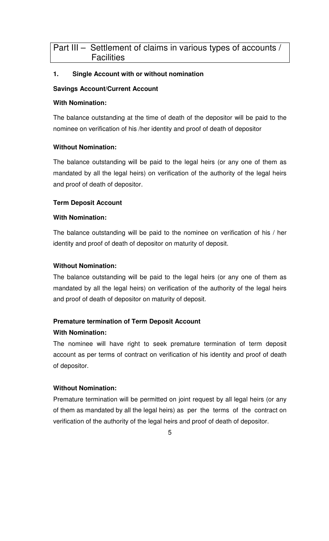# Part III – Settlement of claims in various types of accounts / **Facilities**

#### **1. Single Account with or without nomination**

#### **Savings Account/Current Account**

#### **With Nomination:**

The balance outstanding at the time of death of the depositor will be paid to the nominee on verification of his /her identity and proof of death of depositor

#### **Without Nomination:**

The balance outstanding will be paid to the legal heirs (or any one of them as mandated by all the legal heirs) on verification of the authority of the legal heirs and proof of death of depositor.

#### **Term Deposit Account**

#### **With Nomination:**

The balance outstanding will be paid to the nominee on verification of his / her identity and proof of death of depositor on maturity of deposit.

#### **Without Nomination:**

The balance outstanding will be paid to the legal heirs (or any one of them as mandated by all the legal heirs) on verification of the authority of the legal heirs and proof of death of depositor on maturity of deposit.

#### **Premature termination of Term Deposit Account**

#### **With Nomination:**

The nominee will have right to seek premature termination of term deposit account as per terms of contract on verification of his identity and proof of death of depositor.

#### **Without Nomination:**

Premature termination will be permitted on joint request by all legal heirs (or any of them as mandated by all the legal heirs) as per the terms of the contract on verification of the authority of the legal heirs and proof of death of depositor.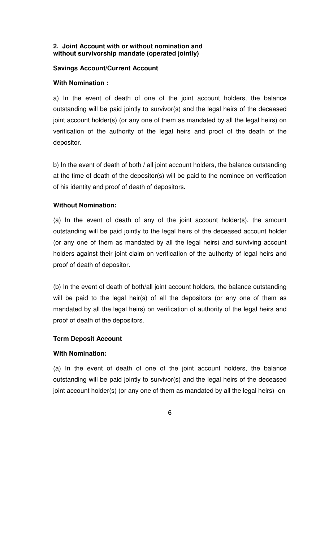#### **2. Joint Account with or without nomination and without survivorship mandate (operated jointly)**

#### **Savings Account/Current Account**

#### **With Nomination :**

a) In the event of death of one of the joint account holders, the balance outstanding will be paid jointly to survivor(s) and the legal heirs of the deceased joint account holder(s) (or any one of them as mandated by all the legal heirs) on verification of the authority of the legal heirs and proof of the death of the depositor.

b) In the event of death of both / all joint account holders, the balance outstanding at the time of death of the depositor(s) will be paid to the nominee on verification of his identity and proof of death of depositors.

#### **Without Nomination:**

(a) In the event of death of any of the joint account holder(s), the amount outstanding will be paid jointly to the legal heirs of the deceased account holder (or any one of them as mandated by all the legal heirs) and surviving account holders against their joint claim on verification of the authority of legal heirs and proof of death of depositor.

(b) In the event of death of both/all joint account holders, the balance outstanding will be paid to the legal heir(s) of all the depositors (or any one of them as mandated by all the legal heirs) on verification of authority of the legal heirs and proof of death of the depositors.

#### **Term Deposit Account**

#### **With Nomination:**

(a) In the event of death of one of the joint account holders, the balance outstanding will be paid jointly to survivor(s) and the legal heirs of the deceased joint account holder(s) (or any one of them as mandated by all the legal heirs) on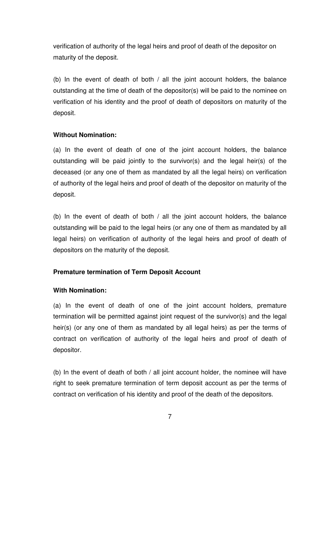verification of authority of the legal heirs and proof of death of the depositor on maturity of the deposit.

(b) In the event of death of both / all the joint account holders, the balance outstanding at the time of death of the depositor(s) will be paid to the nominee on verification of his identity and the proof of death of depositors on maturity of the deposit.

#### **Without Nomination:**

(a) In the event of death of one of the joint account holders, the balance outstanding will be paid jointly to the survivor(s) and the legal heir(s) of the deceased (or any one of them as mandated by all the legal heirs) on verification of authority of the legal heirs and proof of death of the depositor on maturity of the deposit.

(b) In the event of death of both / all the joint account holders, the balance outstanding will be paid to the legal heirs (or any one of them as mandated by all legal heirs) on verification of authority of the legal heirs and proof of death of depositors on the maturity of the deposit.

#### **Premature termination of Term Deposit Account**

#### **With Nomination:**

(a) In the event of death of one of the joint account holders, premature termination will be permitted against joint request of the survivor(s) and the legal heir(s) (or any one of them as mandated by all legal heirs) as per the terms of contract on verification of authority of the legal heirs and proof of death of depositor.

(b) In the event of death of both / all joint account holder, the nominee will have right to seek premature termination of term deposit account as per the terms of contract on verification of his identity and proof of the death of the depositors.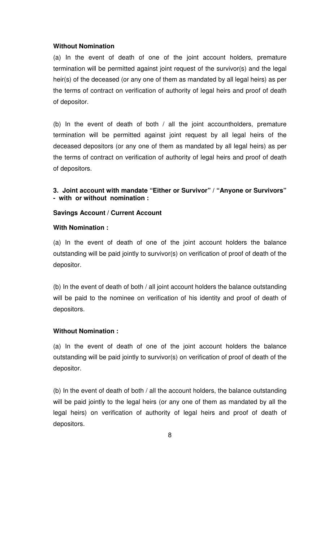#### **Without Nomination**

(a) In the event of death of one of the joint account holders, premature termination will be permitted against joint request of the survivor(s) and the legal heir(s) of the deceased (or any one of them as mandated by all legal heirs) as per the terms of contract on verification of authority of legal heirs and proof of death of depositor.

(b) In the event of death of both / all the joint accountholders, premature termination will be permitted against joint request by all legal heirs of the deceased depositors (or any one of them as mandated by all legal heirs) as per the terms of contract on verification of authority of legal heirs and proof of death of depositors.

#### **3. Joint account with mandate "Either or Survivor" / "Anyone or Survivors" - with or without nomination :**

#### **Savings Account / Current Account**

#### **With Nomination :**

(a) In the event of death of one of the joint account holders the balance outstanding will be paid jointly to survivor(s) on verification of proof of death of the depositor.

(b) In the event of death of both / all joint account holders the balance outstanding will be paid to the nominee on verification of his identity and proof of death of depositors.

#### **Without Nomination :**

(a) In the event of death of one of the joint account holders the balance outstanding will be paid jointly to survivor(s) on verification of proof of death of the depositor.

(b) In the event of death of both / all the account holders, the balance outstanding will be paid jointly to the legal heirs (or any one of them as mandated by all the legal heirs) on verification of authority of legal heirs and proof of death of depositors.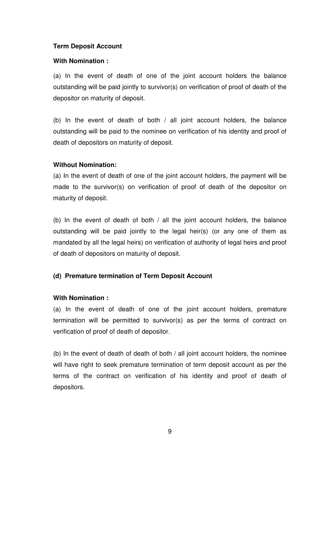#### **Term Deposit Account**

#### **With Nomination :**

(a) In the event of death of one of the joint account holders the balance outstanding will be paid jointly to survivor(s) on verification of proof of death of the depositor on maturity of deposit.

(b) In the event of death of both / all joint account holders, the balance outstanding will be paid to the nominee on verification of his identity and proof of death of depositors on maturity of deposit.

#### **Without Nomination:**

(a) In the event of death of one of the joint account holders, the payment will be made to the survivor(s) on verification of proof of death of the depositor on maturity of deposit.

(b) In the event of death of both / all the joint account holders, the balance outstanding will be paid jointly to the legal heir(s) (or any one of them as mandated by all the legal heirs) on verification of authority of legal heirs and proof of death of depositors on maturity of deposit.

#### **(d) Premature termination of Term Deposit Account**

#### **With Nomination :**

(a) In the event of death of one of the joint account holders, premature termination will be permitted to survivor(s) as per the terms of contract on verification of proof of death of depositor.

(b) In the event of death of death of both / all joint account holders, the nominee will have right to seek premature termination of term deposit account as per the terms of the contract on verification of his identity and proof of death of depositors.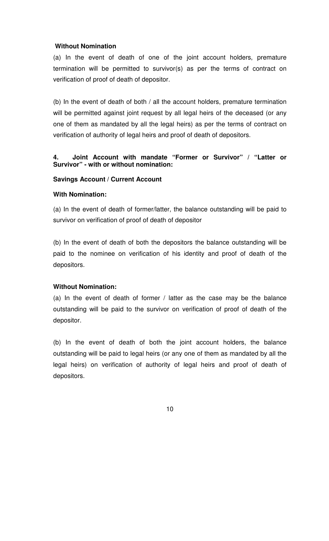#### **Without Nomination**

(a) In the event of death of one of the joint account holders, premature termination will be permitted to survivor(s) as per the terms of contract on verification of proof of death of depositor.

(b) In the event of death of both / all the account holders, premature termination will be permitted against joint request by all legal heirs of the deceased (or any one of them as mandated by all the legal heirs) as per the terms of contract on verification of authority of legal heirs and proof of death of depositors.

#### **4. Joint Account with mandate "Former or Survivor" / "Latter or Survivor" - with or without nomination:**

#### **Savings Account / Current Account**

#### **With Nomination:**

(a) In the event of death of former/latter, the balance outstanding will be paid to survivor on verification of proof of death of depositor

(b) In the event of death of both the depositors the balance outstanding will be paid to the nominee on verification of his identity and proof of death of the depositors.

#### **Without Nomination:**

(a) In the event of death of former / latter as the case may be the balance outstanding will be paid to the survivor on verification of proof of death of the depositor.

(b) In the event of death of both the joint account holders, the balance outstanding will be paid to legal heirs (or any one of them as mandated by all the legal heirs) on verification of authority of legal heirs and proof of death of depositors.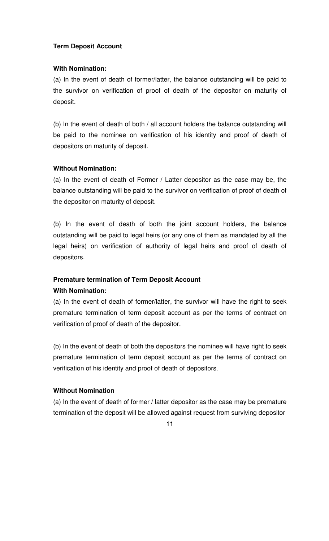#### **Term Deposit Account**

#### **With Nomination:**

(a) In the event of death of former/latter, the balance outstanding will be paid to the survivor on verification of proof of death of the depositor on maturity of deposit.

(b) In the event of death of both / all account holders the balance outstanding will be paid to the nominee on verification of his identity and proof of death of depositors on maturity of deposit.

#### **Without Nomination:**

(a) In the event of death of Former / Latter depositor as the case may be, the balance outstanding will be paid to the survivor on verification of proof of death of the depositor on maturity of deposit.

(b) In the event of death of both the joint account holders, the balance outstanding will be paid to legal heirs (or any one of them as mandated by all the legal heirs) on verification of authority of legal heirs and proof of death of depositors.

#### **Premature termination of Term Deposit Account**

#### **With Nomination:**

(a) In the event of death of former/latter, the survivor will have the right to seek premature termination of term deposit account as per the terms of contract on verification of proof of death of the depositor.

(b) In the event of death of both the depositors the nominee will have right to seek premature termination of term deposit account as per the terms of contract on verification of his identity and proof of death of depositors.

#### **Without Nomination**

(a) In the event of death of former / latter depositor as the case may be premature termination of the deposit will be allowed against request from surviving depositor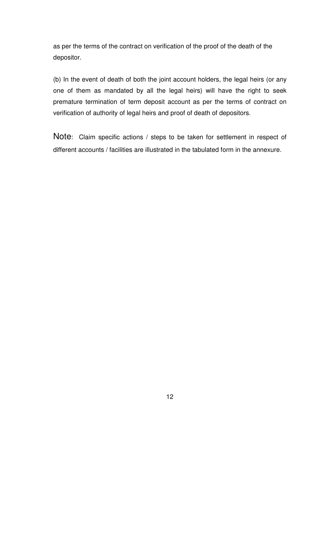as per the terms of the contract on verification of the proof of the death of the depositor.

(b) In the event of death of both the joint account holders, the legal heirs (or any one of them as mandated by all the legal heirs) will have the right to seek premature termination of term deposit account as per the terms of contract on verification of authority of legal heirs and proof of death of depositors.

Note: Claim specific actions / steps to be taken for settlement in respect of different accounts / facilities are illustrated in the tabulated form in the annexure.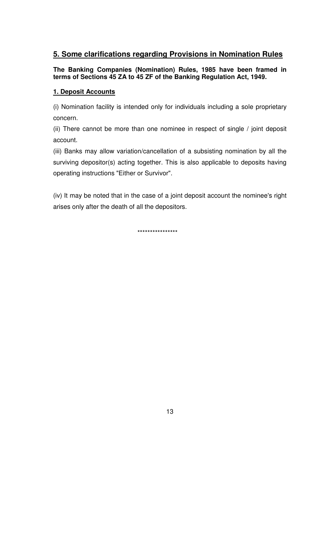### **5. Some clarifications regarding Provisions in Nomination Rules**

#### **The Banking Companies (Nomination) Rules, 1985 have been framed in terms of Sections 45 ZA to 45 ZF of the Banking Regulation Act, 1949.**

#### **1. Deposit Accounts**

(i) Nomination facility is intended only for individuals including a sole proprietary concern.

(ii) There cannot be more than one nominee in respect of single / joint deposit account.

(iii) Banks may allow variation/cancellation of a subsisting nomination by all the surviving depositor(s) acting together. This is also applicable to deposits having operating instructions "Either or Survivor".

(iv) It may be noted that in the case of a joint deposit account the nominee's right arises only after the death of all the depositors.

\*\*\*\*\*\*\*\*\*\*\*\*\*\*\*\*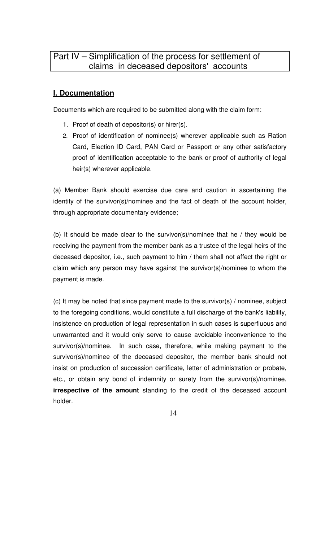# **I. Documentation**

Documents which are required to be submitted along with the claim form:

- 1. Proof of death of depositor(s) or hirer(s).
- 2. Proof of identification of nominee(s) wherever applicable such as Ration Card, Election ID Card, PAN Card or Passport or any other satisfactory proof of identification acceptable to the bank or proof of authority of legal heir(s) wherever applicable.

(a) Member Bank should exercise due care and caution in ascertaining the identity of the survivor(s)/nominee and the fact of death of the account holder, through appropriate documentary evidence;

(b) It should be made clear to the survivor(s)/nominee that he / they would be receiving the payment from the member bank as a trustee of the legal heirs of the deceased depositor, i.e., such payment to him / them shall not affect the right or claim which any person may have against the survivor(s)/nominee to whom the payment is made.

(c) It may be noted that since payment made to the survivor(s) / nominee, subject to the foregoing conditions, would constitute a full discharge of the bank's liability, insistence on production of legal representation in such cases is superfluous and unwarranted and it would only serve to cause avoidable inconvenience to the survivor(s)/nominee. In such case, therefore, while making payment to the survivor(s)/nominee of the deceased depositor, the member bank should not insist on production of succession certificate, letter of administration or probate, etc., or obtain any bond of indemnity or surety from the survivor(s)/nominee, **irrespective of the amount** standing to the credit of the deceased account holder.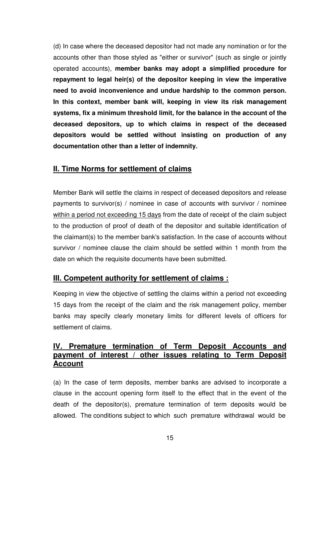(d) In case where the deceased depositor had not made any nomination or for the accounts other than those styled as "either or survivor" (such as single or jointly operated accounts), **member banks may adopt a simplified procedure for repayment to legal heir(s) of the depositor keeping in view the imperative need to avoid inconvenience and undue hardship to the common person. In this context, member bank will, keeping in view its risk management systems, fix a minimum threshold limit, for the balance in the account of the deceased depositors, up to which claims in respect of the deceased depositors would be settled without insisting on production of any documentation other than a letter of indemnity.** 

#### **II. Time Norms for settlement of claims**

Member Bank will settle the claims in respect of deceased depositors and release payments to survivor(s) / nominee in case of accounts with survivor / nominee within a period not exceeding 15 days from the date of receipt of the claim subject to the production of proof of death of the depositor and suitable identification of the claimant(s) to the member bank's satisfaction. In the case of accounts without survivor / nominee clause the claim should be settled within 1 month from the date on which the requisite documents have been submitted.

#### **III. Competent authority for settlement of claims :**

Keeping in view the objective of settling the claims within a period not exceeding 15 days from the receipt of the claim and the risk management policy, member banks may specify clearly monetary limits for different levels of officers for settlement of claims.

#### **IV. Premature termination of Term Deposit Accounts and payment of interest / other issues relating to Term Deposit Account**

(a) In the case of term deposits, member banks are advised to incorporate a clause in the account opening form itself to the effect that in the event of the death of the depositor(s), premature termination of term deposits would be allowed. The conditions subject to which such premature withdrawal would be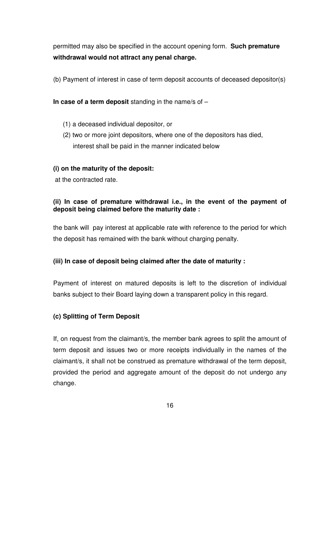permitted may also be specified in the account opening form. **Such premature withdrawal would not attract any penal charge.** 

(b) Payment of interest in case of term deposit accounts of deceased depositor(s)

**In case of a term deposit** standing in the name/s of –

- (1) a deceased individual depositor, or
- (2) two or more joint depositors, where one of the depositors has died, interest shall be paid in the manner indicated below

#### **(i) on the maturity of the deposit:**

at the contracted rate.

#### **(ii) In case of premature withdrawal i.e., in the event of the payment of deposit being claimed before the maturity date :**

the bank will pay interest at applicable rate with reference to the period for which the deposit has remained with the bank without charging penalty.

#### **(iii) In case of deposit being claimed after the date of maturity :**

Payment of interest on matured deposits is left to the discretion of individual banks subject to their Board laying down a transparent policy in this regard.

#### **(c) Splitting of Term Deposit**

If, on request from the claimant/s, the member bank agrees to split the amount of term deposit and issues two or more receipts individually in the names of the claimant/s, it shall not be construed as premature withdrawal of the term deposit, provided the period and aggregate amount of the deposit do not undergo any change.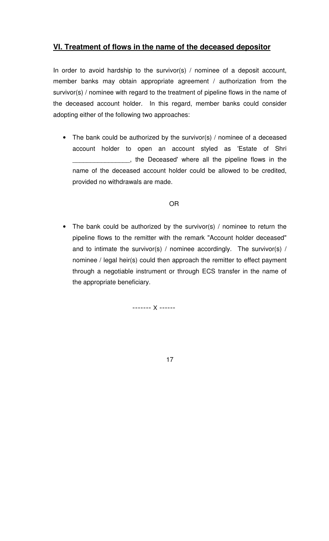# **VI. Treatment of flows in the name of the deceased depositor**

In order to avoid hardship to the survivor(s) / nominee of a deposit account, member banks may obtain appropriate agreement / authorization from the survivor(s) / nominee with regard to the treatment of pipeline flows in the name of the deceased account holder. In this regard, member banks could consider adopting either of the following two approaches:

• The bank could be authorized by the survivor(s) / nominee of a deceased account holder to open an account styled as 'Estate of Shri <sub>1</sub>, the Deceased' where all the pipeline flows in the name of the deceased account holder could be allowed to be credited, provided no withdrawals are made.

#### OR

• The bank could be authorized by the survivor(s) / nominee to return the pipeline flows to the remitter with the remark "Account holder deceased" and to intimate the survivor(s) / nominee accordingly. The survivor(s)  $/$ nominee / legal heir(s) could then approach the remitter to effect payment through a negotiable instrument or through ECS transfer in the name of the appropriate beneficiary.

------- X ------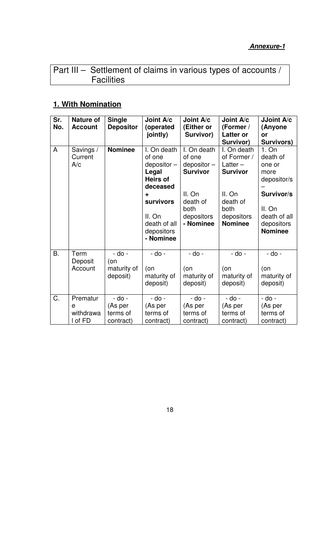# Part III – Settlement of claims in various types of accounts / **Facilities**

# **1. With Nomination**

| Sr.<br>No. | <b>Nature of</b><br><b>Account</b>    | <b>Single</b><br><b>Depositor</b>          | Joint A/c<br>(operated<br>jointly)                                                                                                                        | Joint A/c<br>(Either or<br>Survivor)                                                                               | Joint A/c<br>(Former /<br><b>Latter or</b><br>Survivor)                                                                   | JJoint A/c<br>(Anyone<br>or<br>Survivors)                                                                                  |
|------------|---------------------------------------|--------------------------------------------|-----------------------------------------------------------------------------------------------------------------------------------------------------------|--------------------------------------------------------------------------------------------------------------------|---------------------------------------------------------------------------------------------------------------------------|----------------------------------------------------------------------------------------------------------------------------|
| A          | Savings /<br>Current<br>A/c           | <b>Nominee</b>                             | I. On death<br>of one<br>depositor-<br>Legal<br><b>Heirs of</b><br>deceased<br>÷<br><b>survivors</b><br>II. On<br>death of all<br>depositors<br>- Nominee | I. On death<br>of one<br>$depositor -$<br><b>Survivor</b><br>II. On<br>death of<br>both<br>depositors<br>- Nominee | I. On death<br>of Former /<br>Latter $-$<br><b>Survivor</b><br>II. On<br>death of<br>both<br>depositors<br><b>Nominee</b> | 1. On<br>death of<br>one or<br>more<br>depositor/s<br>Survivor/s<br>II. On<br>death of all<br>depositors<br><b>Nominee</b> |
| <b>B.</b>  | Term<br>Deposit<br>Account            | - do -<br>(on<br>maturity of<br>deposit)   | - do -<br>(on<br>maturity of<br>deposit)                                                                                                                  | - do -<br>(on<br>maturity of<br>deposit)                                                                           | - do -<br>(on<br>maturity of<br>deposit)                                                                                  | - do -<br>$($ on<br>maturity of<br>deposit)                                                                                |
| C.         | Prematur<br>e<br>withdrawa<br>I of FD | - do -<br>(As per<br>terms of<br>contract) | - do -<br>(As per<br>terms of<br>contract)                                                                                                                | - do -<br>(As per<br>terms of<br>contract)                                                                         | - do -<br>(As per<br>terms of<br>contract)                                                                                | - do -<br>(As per<br>terms of<br>contract)                                                                                 |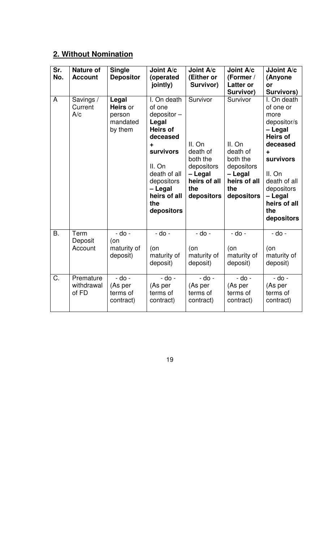# **2. Without Nomination**

| Sr.<br>No. | <b>Nature of</b><br><b>Account</b> | <b>Single</b><br><b>Depositor</b>                  | Joint A/c<br>(operated<br>jointly)                                                                                                                                                              | Joint A/c<br>(Either or<br>Survivor)                                                                     | Joint A/c<br>(Former /<br><b>Latter or</b><br>Survivor)                                                  | JJoint A/c<br>(Anyone<br>or<br>Survivors)                                                                                                                                                                  |
|------------|------------------------------------|----------------------------------------------------|-------------------------------------------------------------------------------------------------------------------------------------------------------------------------------------------------|----------------------------------------------------------------------------------------------------------|----------------------------------------------------------------------------------------------------------|------------------------------------------------------------------------------------------------------------------------------------------------------------------------------------------------------------|
| A          | Savings /<br>Current<br>A/c        | Legal<br>Heirs or<br>person<br>mandated<br>by them | I. On death<br>of one<br>$depositor -$<br>Legal<br><b>Heirs of</b><br>deceased<br>٠<br><b>survivors</b><br>II. On<br>death of all<br>depositors<br>- Legal<br>heirs of all<br>the<br>depositors | Survivor<br>II. On<br>death of<br>both the<br>depositors<br>- Legal<br>heirs of all<br>the<br>depositors | Survivor<br>II. On<br>death of<br>both the<br>depositors<br>- Legal<br>heirs of all<br>the<br>depositors | I. On death<br>of one or<br>more<br>depositor/s<br>- Legal<br><b>Heirs of</b><br>deceased<br>÷<br><b>survivors</b><br>II. On<br>death of all<br>depositors<br>- Legal<br>heirs of all<br>the<br>depositors |
| <b>B.</b>  | Term<br>Deposit<br>Account         | $-do -$<br>(on<br>maturity of<br>deposit)          | $-do -$<br>(on<br>maturity of<br>deposit)                                                                                                                                                       | - do -<br>(on<br>maturity of<br>deposit)                                                                 | - do -<br>(on<br>maturity of<br>deposit)                                                                 | $-do -$<br>(on<br>maturity of<br>deposit)                                                                                                                                                                  |
| C.         | Premature<br>withdrawal<br>of FD   | $-do -$<br>(As per<br>terms of<br>contract)        | $-do -$<br>(As per<br>terms of<br>contract)                                                                                                                                                     | - do -<br>(As per<br>terms of<br>contract)                                                               | $-do -$<br>(As per<br>terms of<br>contract)                                                              | $-do -$<br>(As per<br>terms of<br>contract)                                                                                                                                                                |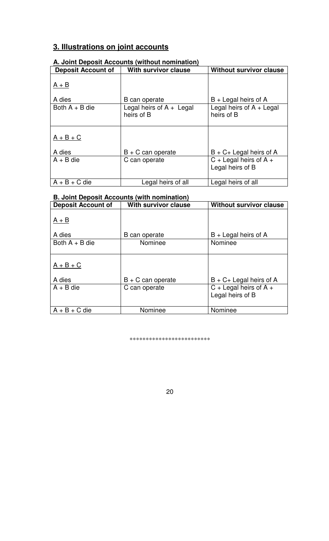# **3. Illustrations on joint accounts**

| A. VOIIIL DUPOSIL AUUURIILS (WILHOUL HUIHIHULIUH) |                                          |                                              |  |  |  |
|---------------------------------------------------|------------------------------------------|----------------------------------------------|--|--|--|
| <b>Deposit Account of</b>                         | <b>With survivor clause</b>              | <b>Without survivor clause</b>               |  |  |  |
| $A + B$<br>A dies                                 | B can operate                            | $B +$ Legal heirs of A                       |  |  |  |
| Both $A + B$ die                                  | Legal heirs of $A +$ Legal<br>heirs of B | Legal heirs of $A + Legal$<br>heirs of B     |  |  |  |
| $A + B + C$<br>A dies                             | $B + C$ can operate                      | $B + C +$ Legal heirs of A                   |  |  |  |
| $A + B$ die                                       | C can operate                            | $C +$ Legal heirs of A +<br>Legal heirs of B |  |  |  |
| $A + B + C$ die                                   | Legal heirs of all                       | Legal heirs of all                           |  |  |  |

#### **A. Joint Deposit Accounts (without nomination)**

#### **B. Joint Deposit Accounts (with nomination)**

| <b>Deposit Account of</b> | <b>With survivor clause</b> | <b>Without survivor clause</b>               |
|---------------------------|-----------------------------|----------------------------------------------|
| $A + B$                   |                             |                                              |
| A dies                    | B can operate               | $B +$ Legal heirs of A                       |
| Both $A + B$ die          | Nominee                     | Nominee                                      |
| $A + B + C$               |                             |                                              |
| A dies                    | $B + C$ can operate         | $B + C +$ Legal heirs of A                   |
| $A + B$ die               | C can operate               | $C +$ Legal heirs of A +<br>Legal heirs of B |
| $A + B + C$ die           | Nominee                     | Nominee                                      |

\*\*\*\*\*\*\*\*\*\*\*\*\*\*\*\*\*\*\*\*\*\*\*\*\*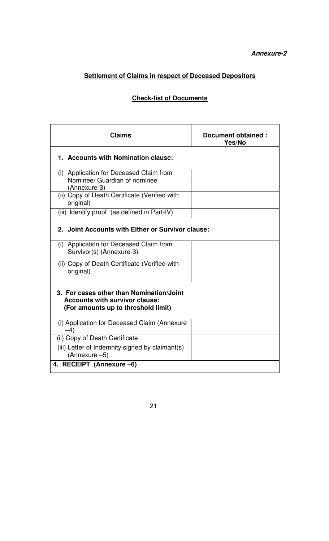# **Settlement of Claims in respect of Deceased Depositors**

# **Check-list of Documents**

| Claims                                                                                                                   | Document obtained:<br>Yes/No |
|--------------------------------------------------------------------------------------------------------------------------|------------------------------|
| 1. Accounts with Nomination clause:                                                                                      |                              |
| (i) Application for Deceased Claim from<br>Nominee/ Guardian of nominee<br>(Annexure-3)                                  |                              |
| (ii) Copy of Death Certificate (Verified with<br>original)                                                               |                              |
| (iii) Identify proof (as defined in Part-IV)                                                                             |                              |
| 2. Joint Accounts with Either or Survivor clause:                                                                        |                              |
| (i) Application for Deceased Claim from<br>Survivor(s) (Annexure-3)                                                      |                              |
| (ii) Copy of Death Certificate (Verified with<br>original)                                                               |                              |
| 3. For cases other than Nomination/Joint<br><b>Accounts with survivor clause:</b><br>(For amounts up to threshold limit) |                              |
| (i) Application for Deceased Claim (Annexure<br>$-4)$                                                                    |                              |
| (ii) Copy of Death Certificate                                                                                           |                              |
| (iii) Letter of Indemnity signed by claimant(s)<br>(Annexure -5)                                                         |                              |
| 4. RECEIPT (Annexure -6)                                                                                                 |                              |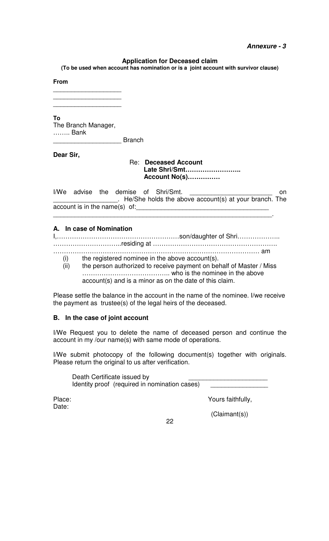#### **Annexure - 3**

#### **Application for Deceased claim**

**(To be used when account has nomination or is a joint account with survivor clause)** 

#### **From**

\_\_\_\_\_\_\_\_\_\_\_\_\_\_\_\_\_\_\_ \_\_\_\_\_\_\_\_\_\_\_\_\_\_\_\_\_\_\_

\_\_\_\_\_\_\_\_\_\_\_\_\_\_\_\_\_\_\_

**To** 

The Branch Manager, …….. Bank

**Example 1** 

**Dear Sir,** 

Re: **Deceased Account Late Shri/Smt…………………….. Account No(s)……………** 

I/We advise the demise of Shri/Smt. \_\_\_\_\_\_\_\_\_\_\_\_\_\_\_\_\_\_. He/She holds the above account(s) at your branch. The account is in the name(s) of: \_\_\_\_\_\_\_\_\_\_\_\_\_\_\_\_\_\_\_\_\_\_\_\_\_\_\_\_\_\_\_\_\_\_\_\_\_\_\_\_\_\_\_\_\_\_\_\_\_\_\_\_\_\_\_\_\_\_\_\_\_.

#### **A. In case of Nomination**

I,…………………………………………………son/daughter of Shri……………….. …………………………..residing at ………………………………………………….

…………………………………………………………………………………… am

- (i) the registered nominee in the above account(s).<br>(ii) the person authorized to receive payment on bel
	- the person authorized to receive payment on behalf of Master / Miss ………………………………….. who is the nominee in the above account(s) and is a minor as on the date of this claim.

Please settle the balance in the account in the name of the nominee. I/we receive the payment as trustee(s) of the legal heirs of the deceased.

#### **B. In the case of joint account**

I/We Request you to delete the name of deceased person and continue the account in my /our name(s) with same mode of operations.

I/We submit photocopy of the following document(s) together with originals. Please return the original to us after verification.

Death Certificate issued by Identity proof (required in nomination cases)

Place: Yours faithfully,

Date:

(Claimant(s))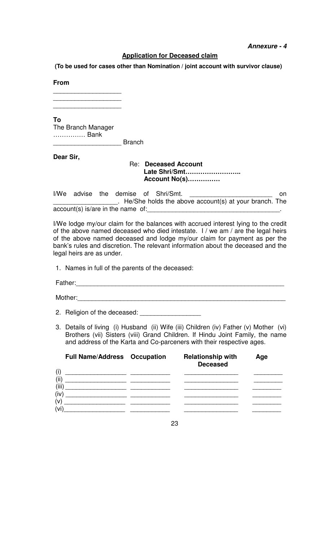#### **Application for Deceased claim**

 **(To be used for cases other than Nomination / joint account with survivor clause)** 

**From** 

\_\_\_\_\_\_\_\_\_\_\_\_\_\_\_\_\_\_\_ \_\_\_\_\_\_\_\_\_\_\_\_\_\_\_\_\_\_\_

\_\_\_\_\_\_\_\_\_\_\_\_\_\_\_\_\_\_\_

**To** 

The Branch Manager …………… Bank

**E**ranch

**Dear Sir,** 

Re: **Deceased Account Late Shri/Smt…………………….. Account No(s)……………** 

I/We advise the demise of Shri/Smt. \_\_\_\_\_\_\_\_\_\_\_\_\_\_\_\_\_\_\_\_\_\_\_\_\_\_\_\_\_\_\_\_ on . He/She holds the above account(s) at your branch. The account(s) is/are in the name of:

I/We lodge my/our claim for the balances with accrued interest lying to the credit of the above named deceased who died intestate. I / we am / are the legal heirs of the above named deceased and lodge my/our claim for payment as per the bank's rules and discretion. The relevant information about the deceased and the legal heirs are as under.

1. Names in full of the parents of the deceased:

Father:\_\_\_\_\_\_\_\_\_\_\_\_\_\_\_\_\_\_\_\_\_\_\_\_\_\_\_\_\_\_\_\_\_\_\_\_\_\_\_\_\_\_\_\_\_\_\_\_\_\_\_\_\_\_\_\_\_\_

Mother:\_\_\_\_\_\_\_\_\_\_\_\_\_\_\_\_\_\_\_\_\_\_\_\_\_\_\_\_\_\_\_\_\_\_\_\_\_\_\_\_\_\_\_\_\_\_\_\_\_\_\_\_\_\_\_\_\_\_

- 2. Religion of the deceased:
- 3. Details of living (i) Husband (ii) Wife (iii) Children (iv) Father (v) Mother (vi) Brothers (vii) Sisters (viii) Grand Children. If Hindu Joint Family, the name and address of the Karta and Co-parceners with their respective ages.

|           | <b>Full Name/Address Occupation</b> | <b>Relationship with</b><br><b>Deceased</b> | Age |
|-----------|-------------------------------------|---------------------------------------------|-----|
| (i<br>(ii |                                     |                                             |     |
| (iii)     |                                     |                                             |     |
| (iv<br>(v |                                     |                                             |     |
| 'vi       |                                     |                                             |     |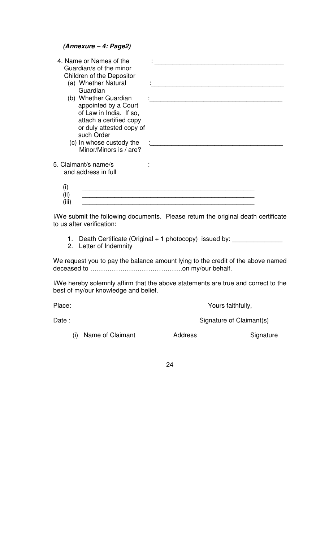**(Annexure – 4: Page2)** 

| 4. Name or Names of the<br>Guardian/s of the minor<br>Children of the Depositor<br>(a) Whether Natural<br>Guardian<br>(b) Whether Guardian<br>appointed by a Court |  |
|--------------------------------------------------------------------------------------------------------------------------------------------------------------------|--|
| of Law in India. If so,<br>attach a certified copy<br>or duly attested copy of<br>such Order<br>(c) In whose custody the<br>Minor/Minors is / are?                 |  |
| 5. Claimant/s name/s<br>and address in full                                                                                                                        |  |
| (۱)                                                                                                                                                                |  |

I/We submit the following documents. Please return the original death certificate to us after verification:

- 1. Death Certificate (Original + 1 photocopy) issued by: \_\_\_\_\_\_\_\_\_\_
- 2. Letter of Indemnity

We request you to pay the balance amount lying to the credit of the above named deceased to …………………………………….on my/our behalf.

I/We hereby solemnly affirm that the above statements are true and correct to the best of my/our knowledge and belief.

Place: Yours faithfully,

Date : Signature of Claimant(s)

(i) Name of Claimant **Address** Signature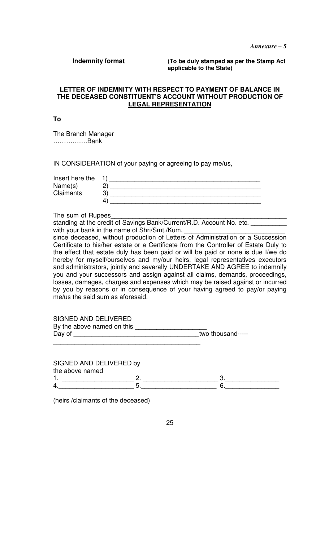**Indemnity format (To be duly stamped as per the Stamp Act applicable to the State)** 

#### **LETTER OF INDEMNITY WITH RESPECT TO PAYMENT OF BALANCE IN THE DECEASED CONSTITUENT'S ACCOUNT WITHOUT PRODUCTION OF LEGAL REPRESENTATION**

**To** 

The Branch Manager …………….Bank

IN CONSIDERATION of your paying or agreeing to pay me/us,

| Insert here the  |   |
|------------------|---|
| Name(s)          |   |
| <b>Claimants</b> | ີ |
|                  |   |

The sum of Rupees

standing at the credit of Savings Bank/Current/R.D. Account No. etc. \_\_\_\_\_\_ with your bank in the name of Shri/Smt./Kum.

since deceased, without production of Letters of Administration or a Succession Certificate to his/her estate or a Certificate from the Controller of Estate Duly to the effect that estate duly has been paid or will be paid or none is due I/we do hereby for myself/ourselves and my/our heirs, legal representatives executors and administrators, jointly and severally UNDERTAKE AND AGREE to indemnify you and your successors and assign against all claims, demands, proceedings, losses, damages, charges and expenses which may be raised against or incurred by you by reasons or in consequence of your having agreed to pay/or paying me/us the said sum as aforesaid.

SIGNED AND DELIVERED

| By the above named on this |                   |
|----------------------------|-------------------|
| Day of                     | two thousand----- |
|                            |                   |

SIGNED AND DELIVERED by the above named 1. \_\_\_\_\_\_\_\_\_\_\_\_\_\_\_\_\_\_\_\_ 2. \_\_\_\_\_\_\_\_\_\_\_\_\_\_\_\_\_\_\_\_\_ 3.\_\_\_\_\_\_\_\_\_\_\_\_\_\_\_ 4.\_\_\_\_\_\_\_\_\_\_\_\_\_\_\_\_\_\_\_\_\_ 5.\_\_\_\_\_\_\_\_\_\_\_\_\_\_\_\_\_\_\_\_\_ 6.\_\_\_\_\_\_\_\_\_\_\_\_\_\_\_

(heirs /claimants of the deceased)